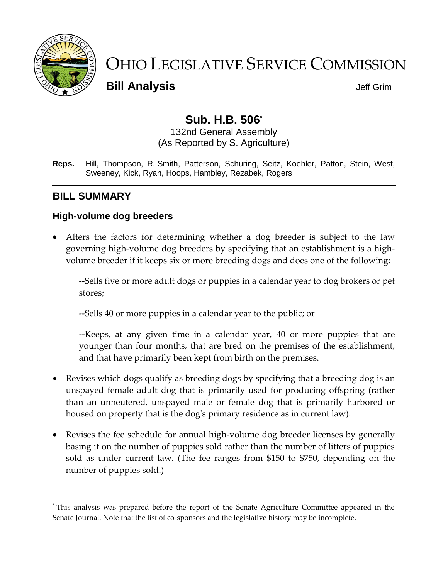

 $\overline{a}$ 

# OHIO LEGISLATIVE SERVICE COMMISSION

**Bill Analysis Discriming Structure Control Control Control Control Control Control Control Control Control Control Control Control Control Control Control Control Control Control Control Control Control Control Control** 

# **Sub. H.B. 506\***

132nd General Assembly (As Reported by S. Agriculture)

**Reps.** Hill, Thompson, R. Smith, Patterson, Schuring, Seitz, Koehler, Patton, Stein, West, Sweeney, Kick, Ryan, Hoops, Hambley, Rezabek, Rogers

# **BILL SUMMARY**

#### **High-volume dog breeders**

 Alters the factors for determining whether a dog breeder is subject to the law governing high-volume dog breeders by specifying that an establishment is a highvolume breeder if it keeps six or more breeding dogs and does one of the following:

--Sells five or more adult dogs or puppies in a calendar year to dog brokers or pet stores;

--Sells 40 or more puppies in a calendar year to the public; or

--Keeps, at any given time in a calendar year, 40 or more puppies that are younger than four months, that are bred on the premises of the establishment, and that have primarily been kept from birth on the premises.

- Revises which dogs qualify as breeding dogs by specifying that a breeding dog is an unspayed female adult dog that is primarily used for producing offspring (rather than an unneutered, unspayed male or female dog that is primarily harbored or housed on property that is the dog's primary residence as in current law).
- Revises the fee schedule for annual high-volume dog breeder licenses by generally basing it on the number of puppies sold rather than the number of litters of puppies sold as under current law. (The fee ranges from \$150 to \$750, depending on the number of puppies sold.)

<sup>\*</sup> This analysis was prepared before the report of the Senate Agriculture Committee appeared in the Senate Journal. Note that the list of co-sponsors and the legislative history may be incomplete.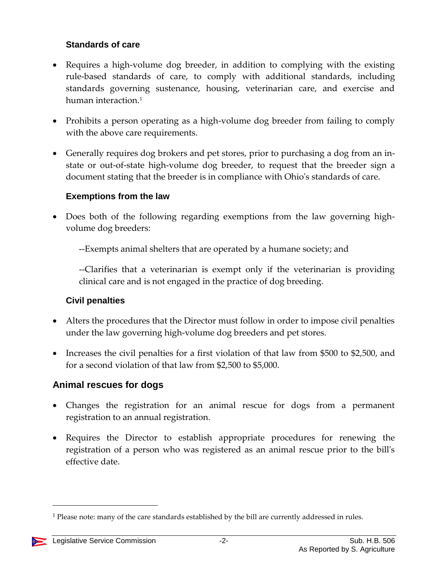#### **Standards of care**

- Requires a high-volume dog breeder, in addition to complying with the existing rule-based standards of care, to comply with additional standards, including standards governing sustenance, housing, veterinarian care, and exercise and human interaction. 1
- Prohibits a person operating as a high-volume dog breeder from failing to comply with the above care requirements.
- Generally requires dog brokers and pet stores, prior to purchasing a dog from an instate or out-of-state high-volume dog breeder, to request that the breeder sign a document stating that the breeder is in compliance with Ohio's standards of care.

#### **Exemptions from the law**

 Does both of the following regarding exemptions from the law governing highvolume dog breeders:

--Exempts animal shelters that are operated by a humane society; and

--Clarifies that a veterinarian is exempt only if the veterinarian is providing clinical care and is not engaged in the practice of dog breeding.

## **Civil penalties**

- Alters the procedures that the Director must follow in order to impose civil penalties under the law governing high-volume dog breeders and pet stores.
- Increases the civil penalties for a first violation of that law from \$500 to \$2,500, and for a second violation of that law from \$2,500 to \$5,000.

# **Animal rescues for dogs**

- Changes the registration for an animal rescue for dogs from a permanent registration to an annual registration.
- Requires the Director to establish appropriate procedures for renewing the registration of a person who was registered as an animal rescue prior to the bill's effective date.

<sup>&</sup>lt;sup>1</sup> Please note: many of the care standards established by the bill are currently addressed in rules.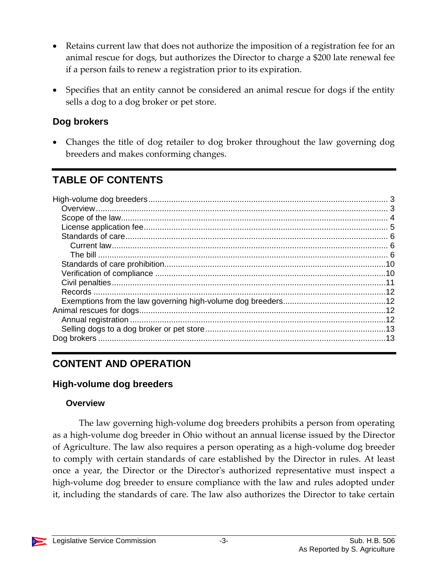- Retains current law that does not authorize the imposition of a registration fee for an animal rescue for dogs, but authorizes the Director to charge a \$200 late renewal fee if a person fails to renew a registration prior to its expiration.
- Specifies that an entity cannot be considered an animal rescue for dogs if the entity sells a dog to a dog broker or pet store.

## **Dog brokers**

 Changes the title of dog retailer to dog broker throughout the law governing dog breeders and makes conforming changes.

# **TABLE OF CONTENTS**

# **CONTENT AND OPERATION**

## <span id="page-2-0"></span>**High-volume dog breeders**

#### <span id="page-2-1"></span>**Overview**

The law governing high-volume dog breeders prohibits a person from operating as a high-volume dog breeder in Ohio without an annual license issued by the Director of Agriculture. The law also requires a person operating as a high-volume dog breeder to comply with certain standards of care established by the Director in rules. At least once a year, the Director or the Director's authorized representative must inspect a high-volume dog breeder to ensure compliance with the law and rules adopted under it, including the standards of care. The law also authorizes the Director to take certain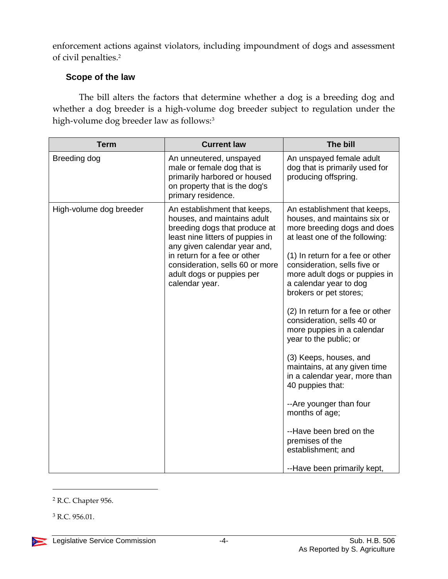enforcement actions against violators, including impoundment of dogs and assessment of civil penalties.<sup>2</sup>

#### <span id="page-3-0"></span>**Scope of the law**

The bill alters the factors that determine whether a dog is a breeding dog and whether a dog breeder is a high-volume dog breeder subject to regulation under the high-volume dog breeder law as follows:<sup>3</sup>

| <b>Term</b>             | <b>Current law</b>                                                                                                                                                                                                                                                                 | The bill                                                                                                                                                                                                                                                                                                                                                                                                                                                                                                                                                                                                                                                                        |
|-------------------------|------------------------------------------------------------------------------------------------------------------------------------------------------------------------------------------------------------------------------------------------------------------------------------|---------------------------------------------------------------------------------------------------------------------------------------------------------------------------------------------------------------------------------------------------------------------------------------------------------------------------------------------------------------------------------------------------------------------------------------------------------------------------------------------------------------------------------------------------------------------------------------------------------------------------------------------------------------------------------|
| Breeding dog            | An unneutered, unspayed<br>male or female dog that is<br>primarily harbored or housed<br>on property that is the dog's<br>primary residence.                                                                                                                                       | An unspayed female adult<br>dog that is primarily used for<br>producing offspring.                                                                                                                                                                                                                                                                                                                                                                                                                                                                                                                                                                                              |
| High-volume dog breeder | An establishment that keeps,<br>houses, and maintains adult<br>breeding dogs that produce at<br>least nine litters of puppies in<br>any given calendar year and,<br>in return for a fee or other<br>consideration, sells 60 or more<br>adult dogs or puppies per<br>calendar year. | An establishment that keeps,<br>houses, and maintains six or<br>more breeding dogs and does<br>at least one of the following:<br>(1) In return for a fee or other<br>consideration, sells five or<br>more adult dogs or puppies in<br>a calendar year to dog<br>brokers or pet stores;<br>(2) In return for a fee or other<br>consideration, sells 40 or<br>more puppies in a calendar<br>year to the public; or<br>(3) Keeps, houses, and<br>maintains, at any given time<br>in a calendar year, more than<br>40 puppies that:<br>--Are younger than four<br>months of age;<br>--Have been bred on the<br>premises of the<br>establishment; and<br>--Have been primarily kept, |

<sup>2</sup> R.C. Chapter 956.

<sup>3</sup> R.C. 956.01.

 $\overline{a}$ 

 $\sum_{i=1}^{n}$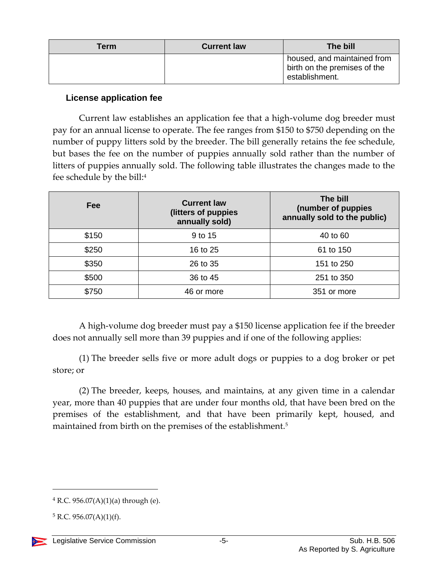| Term | <b>Current law</b> | The bill                                                                      |
|------|--------------------|-------------------------------------------------------------------------------|
|      |                    | housed, and maintained from<br>birth on the premises of the<br>establishment. |

#### <span id="page-4-0"></span>**License application fee**

Current law establishes an application fee that a high-volume dog breeder must pay for an annual license to operate. The fee ranges from \$150 to \$750 depending on the number of puppy litters sold by the breeder. The bill generally retains the fee schedule, but bases the fee on the number of puppies annually sold rather than the number of litters of puppies annually sold. The following table illustrates the changes made to the fee schedule by the bill:<sup>4</sup>

| <b>Fee</b> | <b>Current law</b><br>(litters of puppies<br>annually sold) | The bill<br>(number of puppies<br>annually sold to the public) |
|------------|-------------------------------------------------------------|----------------------------------------------------------------|
| \$150      | 9 to 15                                                     | 40 to 60                                                       |
| \$250      | 16 to 25                                                    | 61 to 150                                                      |
| \$350      | 26 to 35                                                    | 151 to 250                                                     |
| \$500      | 36 to 45                                                    | 251 to 350                                                     |
| \$750      | 46 or more                                                  | 351 or more                                                    |

A high-volume dog breeder must pay a \$150 license application fee if the breeder does not annually sell more than 39 puppies and if one of the following applies:

(1) The breeder sells five or more adult dogs or puppies to a dog broker or pet store; or

(2) The breeder, keeps, houses, and maintains, at any given time in a calendar year, more than 40 puppies that are under four months old, that have been bred on the premises of the establishment, and that have been primarily kept, housed, and maintained from birth on the premises of the establishment.<sup>5</sup>

 $4$  R.C. 956.07(A)(1)(a) through (e).

 $5 R.C. 956.07(A)(1)(f).$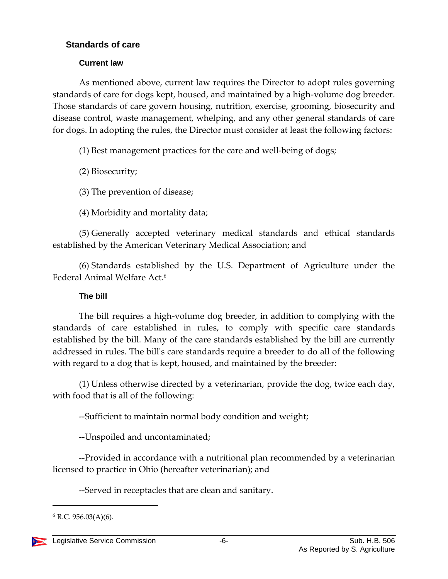#### <span id="page-5-0"></span>**Standards of care**

#### **Current law**

<span id="page-5-1"></span>As mentioned above, current law requires the Director to adopt rules governing standards of care for dogs kept, housed, and maintained by a high-volume dog breeder. Those standards of care govern housing, nutrition, exercise, grooming, biosecurity and disease control, waste management, whelping, and any other general standards of care for dogs. In adopting the rules, the Director must consider at least the following factors:

(1) Best management practices for the care and well-being of dogs;

(2) Biosecurity;

(3) The prevention of disease;

(4) Morbidity and mortality data;

(5) Generally accepted veterinary medical standards and ethical standards established by the American Veterinary Medical Association; and

(6) Standards established by the U.S. Department of Agriculture under the Federal Animal Welfare Act.<sup>6</sup>

#### **The bill**

<span id="page-5-2"></span>The bill requires a high-volume dog breeder, in addition to complying with the standards of care established in rules, to comply with specific care standards established by the bill. Many of the care standards established by the bill are currently addressed in rules. The bill's care standards require a breeder to do all of the following with regard to a dog that is kept, housed, and maintained by the breeder:

(1) Unless otherwise directed by a veterinarian, provide the dog, twice each day, with food that is all of the following:

--Sufficient to maintain normal body condition and weight;

--Unspoiled and uncontaminated;

--Provided in accordance with a nutritional plan recommended by a veterinarian licensed to practice in Ohio (hereafter veterinarian); and

--Served in receptacles that are clean and sanitary.

 $6$  R.C. 956.03(A)(6).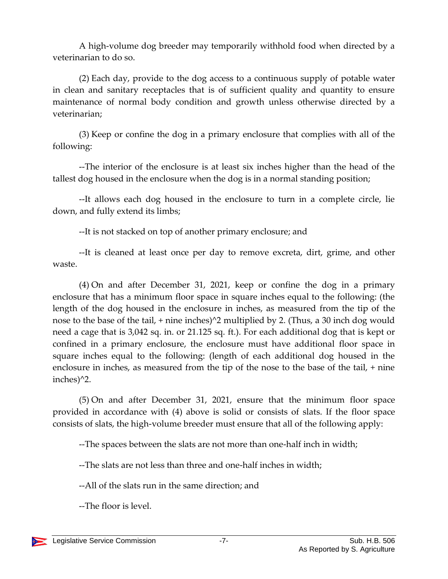A high-volume dog breeder may temporarily withhold food when directed by a veterinarian to do so.

(2) Each day, provide to the dog access to a continuous supply of potable water in clean and sanitary receptacles that is of sufficient quality and quantity to ensure maintenance of normal body condition and growth unless otherwise directed by a veterinarian;

(3) Keep or confine the dog in a primary enclosure that complies with all of the following:

--The interior of the enclosure is at least six inches higher than the head of the tallest dog housed in the enclosure when the dog is in a normal standing position;

--It allows each dog housed in the enclosure to turn in a complete circle, lie down, and fully extend its limbs;

--It is not stacked on top of another primary enclosure; and

--It is cleaned at least once per day to remove excreta, dirt, grime, and other waste.

(4) On and after December 31, 2021, keep or confine the dog in a primary enclosure that has a minimum floor space in square inches equal to the following: (the length of the dog housed in the enclosure in inches, as measured from the tip of the nose to the base of the tail, + nine inches)<sup>^2</sup> multiplied by 2. (Thus, a 30 inch dog would need a cage that is 3,042 sq. in. or 21.125 sq. ft.). For each additional dog that is kept or confined in a primary enclosure, the enclosure must have additional floor space in square inches equal to the following: (length of each additional dog housed in the enclosure in inches, as measured from the tip of the nose to the base of the tail, + nine inches)^2.

(5) On and after December 31, 2021, ensure that the minimum floor space provided in accordance with (4) above is solid or consists of slats. If the floor space consists of slats, the high-volume breeder must ensure that all of the following apply:

--The spaces between the slats are not more than one-half inch in width;

--The slats are not less than three and one-half inches in width;

--All of the slats run in the same direction; and

--The floor is level.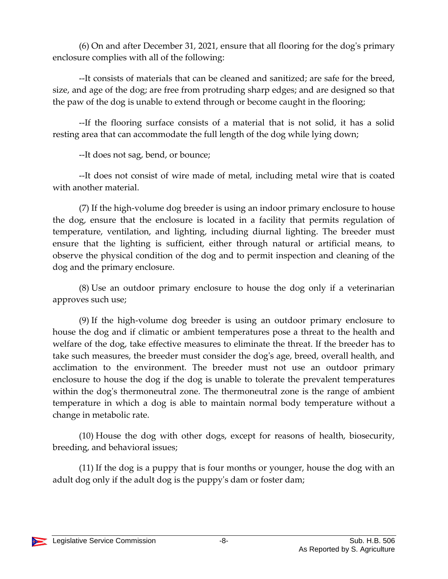(6) On and after December 31, 2021, ensure that all flooring for the dog's primary enclosure complies with all of the following:

--It consists of materials that can be cleaned and sanitized; are safe for the breed, size, and age of the dog; are free from protruding sharp edges; and are designed so that the paw of the dog is unable to extend through or become caught in the flooring;

--If the flooring surface consists of a material that is not solid, it has a solid resting area that can accommodate the full length of the dog while lying down;

--It does not sag, bend, or bounce;

--It does not consist of wire made of metal, including metal wire that is coated with another material.

(7) If the high-volume dog breeder is using an indoor primary enclosure to house the dog, ensure that the enclosure is located in a facility that permits regulation of temperature, ventilation, and lighting, including diurnal lighting. The breeder must ensure that the lighting is sufficient, either through natural or artificial means, to observe the physical condition of the dog and to permit inspection and cleaning of the dog and the primary enclosure.

(8) Use an outdoor primary enclosure to house the dog only if a veterinarian approves such use;

(9) If the high-volume dog breeder is using an outdoor primary enclosure to house the dog and if climatic or ambient temperatures pose a threat to the health and welfare of the dog, take effective measures to eliminate the threat. If the breeder has to take such measures, the breeder must consider the dog's age, breed, overall health, and acclimation to the environment. The breeder must not use an outdoor primary enclosure to house the dog if the dog is unable to tolerate the prevalent temperatures within the dog's thermoneutral zone. The thermoneutral zone is the range of ambient temperature in which a dog is able to maintain normal body temperature without a change in metabolic rate.

(10) House the dog with other dogs, except for reasons of health, biosecurity, breeding, and behavioral issues;

(11) If the dog is a puppy that is four months or younger, house the dog with an adult dog only if the adult dog is the puppy's dam or foster dam;

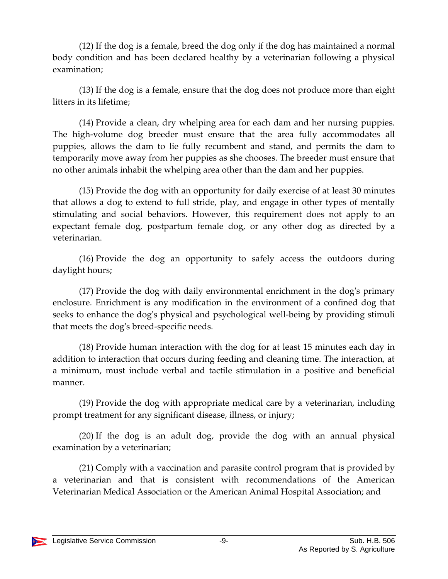(12) If the dog is a female, breed the dog only if the dog has maintained a normal body condition and has been declared healthy by a veterinarian following a physical examination;

(13) If the dog is a female, ensure that the dog does not produce more than eight litters in its lifetime;

(14) Provide a clean, dry whelping area for each dam and her nursing puppies. The high-volume dog breeder must ensure that the area fully accommodates all puppies, allows the dam to lie fully recumbent and stand, and permits the dam to temporarily move away from her puppies as she chooses. The breeder must ensure that no other animals inhabit the whelping area other than the dam and her puppies.

(15) Provide the dog with an opportunity for daily exercise of at least 30 minutes that allows a dog to extend to full stride, play, and engage in other types of mentally stimulating and social behaviors. However, this requirement does not apply to an expectant female dog, postpartum female dog, or any other dog as directed by a veterinarian.

(16) Provide the dog an opportunity to safely access the outdoors during daylight hours;

(17) Provide the dog with daily environmental enrichment in the dog's primary enclosure. Enrichment is any modification in the environment of a confined dog that seeks to enhance the dog's physical and psychological well-being by providing stimuli that meets the dog's breed-specific needs.

(18) Provide human interaction with the dog for at least 15 minutes each day in addition to interaction that occurs during feeding and cleaning time. The interaction, at a minimum, must include verbal and tactile stimulation in a positive and beneficial manner.

(19) Provide the dog with appropriate medical care by a veterinarian, including prompt treatment for any significant disease, illness, or injury;

(20) If the dog is an adult dog, provide the dog with an annual physical examination by a veterinarian;

(21) Comply with a vaccination and parasite control program that is provided by a veterinarian and that is consistent with recommendations of the American Veterinarian Medical Association or the American Animal Hospital Association; and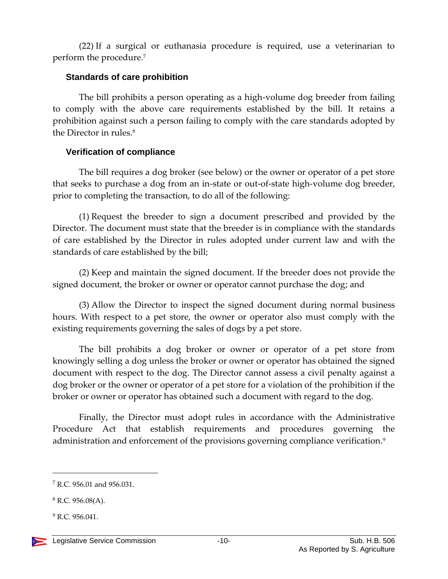(22) If a surgical or euthanasia procedure is required, use a veterinarian to perform the procedure. 7

#### <span id="page-9-0"></span>**Standards of care prohibition**

The bill prohibits a person operating as a high-volume dog breeder from failing to comply with the above care requirements established by the bill. It retains a prohibition against such a person failing to comply with the care standards adopted by the Director in rules.<sup>8</sup>

#### <span id="page-9-1"></span>**Verification of compliance**

The bill requires a dog broker (see below) or the owner or operator of a pet store that seeks to purchase a dog from an in-state or out-of-state high-volume dog breeder, prior to completing the transaction, to do all of the following:

(1) Request the breeder to sign a document prescribed and provided by the Director. The document must state that the breeder is in compliance with the standards of care established by the Director in rules adopted under current law and with the standards of care established by the bill;

(2) Keep and maintain the signed document. If the breeder does not provide the signed document, the broker or owner or operator cannot purchase the dog; and

(3) Allow the Director to inspect the signed document during normal business hours. With respect to a pet store, the owner or operator also must comply with the existing requirements governing the sales of dogs by a pet store.

The bill prohibits a dog broker or owner or operator of a pet store from knowingly selling a dog unless the broker or owner or operator has obtained the signed document with respect to the dog. The Director cannot assess a civil penalty against a dog broker or the owner or operator of a pet store for a violation of the prohibition if the broker or owner or operator has obtained such a document with regard to the dog.

Finally, the Director must adopt rules in accordance with the Administrative Procedure Act that establish requirements and procedures governing the administration and enforcement of the provisions governing compliance verification.<sup>9</sup>

<sup>&</sup>lt;sup>7</sup> R.C. 956.01 and 956.031.

 $8$  R.C. 956.08(A).

 $9 R.C. 956.041.$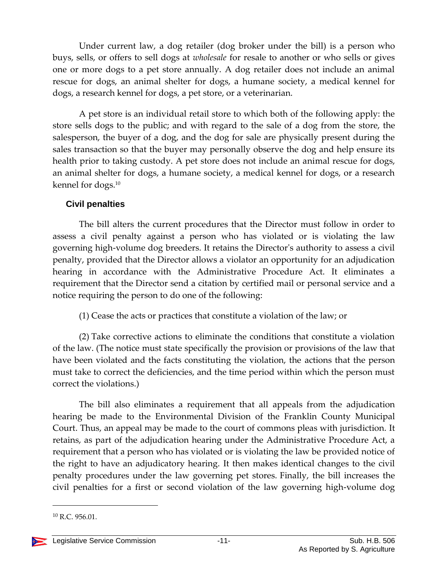Under current law, a dog retailer (dog broker under the bill) is a person who buys, sells, or offers to sell dogs at *wholesale* for resale to another or who sells or gives one or more dogs to a pet store annually. A dog retailer does not include an animal rescue for dogs, an animal shelter for dogs, a humane society, a medical kennel for dogs, a research kennel for dogs, a pet store, or a veterinarian.

A pet store is an individual retail store to which both of the following apply: the store sells dogs to the public; and with regard to the sale of a dog from the store, the salesperson, the buyer of a dog, and the dog for sale are physically present during the sales transaction so that the buyer may personally observe the dog and help ensure its health prior to taking custody. A pet store does not include an animal rescue for dogs, an animal shelter for dogs, a humane society, a medical kennel for dogs, or a research kennel for dogs.<sup>10</sup>

#### <span id="page-10-0"></span>**Civil penalties**

The bill alters the current procedures that the Director must follow in order to assess a civil penalty against a person who has violated or is violating the law governing high-volume dog breeders. It retains the Director's authority to assess a civil penalty, provided that the Director allows a violator an opportunity for an adjudication hearing in accordance with the Administrative Procedure Act. It eliminates a requirement that the Director send a citation by certified mail or personal service and a notice requiring the person to do one of the following:

(1) Cease the acts or practices that constitute a violation of the law; or

(2) Take corrective actions to eliminate the conditions that constitute a violation of the law. (The notice must state specifically the provision or provisions of the law that have been violated and the facts constituting the violation, the actions that the person must take to correct the deficiencies, and the time period within which the person must correct the violations.)

The bill also eliminates a requirement that all appeals from the adjudication hearing be made to the Environmental Division of the Franklin County Municipal Court. Thus, an appeal may be made to the court of commons pleas with jurisdiction. It retains, as part of the adjudication hearing under the Administrative Procedure Act, a requirement that a person who has violated or is violating the law be provided notice of the right to have an adjudicatory hearing. It then makes identical changes to the civil penalty procedures under the law governing pet stores. Finally, the bill increases the civil penalties for a first or second violation of the law governing high-volume dog

 $10$  R.C. 956.01.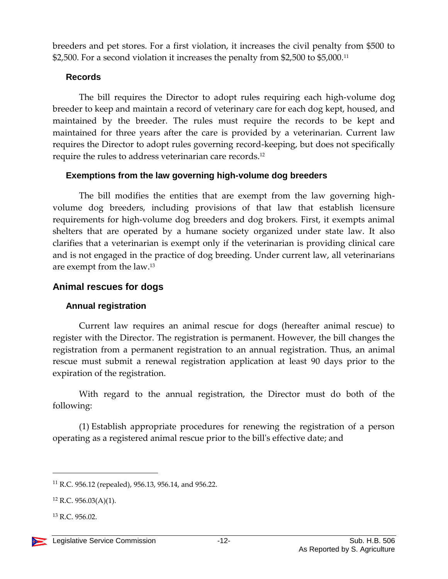breeders and pet stores. For a first violation, it increases the civil penalty from \$500 to \$2,500. For a second violation it increases the penalty from \$2,500 to \$5,000.<sup>11</sup>

#### <span id="page-11-0"></span>**Records**

The bill requires the Director to adopt rules requiring each high-volume dog breeder to keep and maintain a record of veterinary care for each dog kept, housed, and maintained by the breeder. The rules must require the records to be kept and maintained for three years after the care is provided by a veterinarian. Current law requires the Director to adopt rules governing record-keeping, but does not specifically require the rules to address veterinarian care records.<sup>12</sup>

#### <span id="page-11-1"></span>**Exemptions from the law governing high-volume dog breeders**

The bill modifies the entities that are exempt from the law governing highvolume dog breeders, including provisions of that law that establish licensure requirements for high-volume dog breeders and dog brokers. First, it exempts animal shelters that are operated by a humane society organized under state law. It also clarifies that a veterinarian is exempt only if the veterinarian is providing clinical care and is not engaged in the practice of dog breeding. Under current law, all veterinarians are exempt from the law.<sup>13</sup>

#### <span id="page-11-2"></span>**Animal rescues for dogs**

#### <span id="page-11-3"></span>**Annual registration**

Current law requires an animal rescue for dogs (hereafter animal rescue) to register with the Director. The registration is permanent. However, the bill changes the registration from a permanent registration to an annual registration. Thus, an animal rescue must submit a renewal registration application at least 90 days prior to the expiration of the registration.

With regard to the annual registration, the Director must do both of the following:

(1) Establish appropriate procedures for renewing the registration of a person operating as a registered animal rescue prior to the bill's effective date; and

<sup>11</sup> R.C. 956.12 (repealed), 956.13, 956.14, and 956.22.

<sup>12</sup> R.C. 956.03(A)(1).

<sup>13</sup> R.C. 956.02.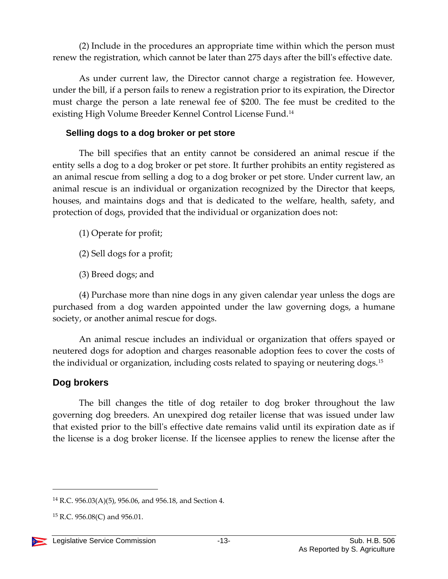(2) Include in the procedures an appropriate time within which the person must renew the registration, which cannot be later than 275 days after the bill's effective date.

As under current law, the Director cannot charge a registration fee. However, under the bill, if a person fails to renew a registration prior to its expiration, the Director must charge the person a late renewal fee of \$200. The fee must be credited to the existing High Volume Breeder Kennel Control License Fund.<sup>14</sup>

#### <span id="page-12-0"></span>**Selling dogs to a dog broker or pet store**

The bill specifies that an entity cannot be considered an animal rescue if the entity sells a dog to a dog broker or pet store. It further prohibits an entity registered as an animal rescue from selling a dog to a dog broker or pet store. Under current law, an animal rescue is an individual or organization recognized by the Director that keeps, houses, and maintains dogs and that is dedicated to the welfare, health, safety, and protection of dogs, provided that the individual or organization does not:

(1) Operate for profit;

- (2) Sell dogs for a profit;
- (3) Breed dogs; and

(4) Purchase more than nine dogs in any given calendar year unless the dogs are purchased from a dog warden appointed under the law governing dogs, a humane society, or another animal rescue for dogs.

An animal rescue includes an individual or organization that offers spayed or neutered dogs for adoption and charges reasonable adoption fees to cover the costs of the individual or organization, including costs related to spaying or neutering dogs.<sup>15</sup>

# <span id="page-12-1"></span>**Dog brokers**

The bill changes the title of dog retailer to dog broker throughout the law governing dog breeders. An unexpired dog retailer license that was issued under law that existed prior to the bill's effective date remains valid until its expiration date as if the license is a dog broker license. If the licensee applies to renew the license after the

 $15$  R.C. 956.08(C) and 956.01.



<sup>&</sup>lt;sup>14</sup> R.C. 956.03(A)(5), 956.06, and 956.18, and Section 4.